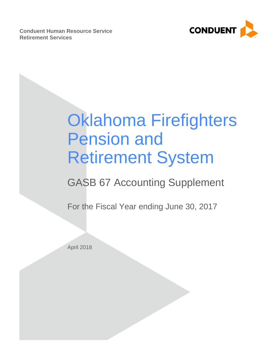**Conduent Human Resource Service Retirement Services**



# Oklahoma Firefighters Pension and Retirement System

# GASB 67 Accounting Supplement

For the Fiscal Year ending June 30, 2017

April 2018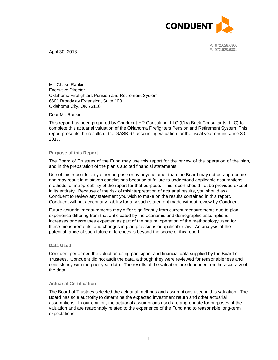

P: 972.628.6800 F: 972.628.6801

April 30, 2018

Mr. Chase Rankin Executive Director Oklahoma Firefighters Pension and Retirement System 6601 Broadway Extension, Suite 100 Oklahoma City, OK 73116

#### Dear Mr. Rankin:

This report has been prepared by Conduent HR Consulting, LLC (f/k/a Buck Consultants, LLC) to complete this actuarial valuation of the Oklahoma Firefighters Pension and Retirement System. This report presents the results of the GASB 67 accounting valuation for the fiscal year ending June 30, 2017.

#### **Purpose of this Report**

The Board of Trustees of the Fund may use this report for the review of the operation of the plan, and in the preparation of the plan's audited financial statements.

Use of this report for any other purpose or by anyone other than the Board may not be appropriate and may result in mistaken conclusions because of failure to understand applicable assumptions, methods, or inapplicability of the report for that purpose. This report should not be provided except in its entirety. Because of the risk of misinterpretation of actuarial results, you should ask Conduent to review any statement you wish to make on the results contained in this report. Conduent will not accept any liability for any such statement made without review by Conduent.

Future actuarial measurements may differ significantly from current measurements due to plan experience differing from that anticipated by the economic and demographic assumptions, increases or decreases expected as part of the natural operation of the methodology used for these measurements, and changes in plan provisions or applicable law. An analysis of the potential range of such future differences is beyond the scope of this report.

#### **Data Used**

Conduent performed the valuation using participant and financial data supplied by the Board of Trustees. Conduent did not audit the data, although they were reviewed for reasonableness and consistency with the prior year data. The results of the valuation are dependent on the accuracy of the data.

#### **Actuarial Certification**

The Board of Trustees selected the actuarial methods and assumptions used in this valuation. The Board has sole authority to determine the expected investment return and other actuarial assumptions. In our opinion, the actuarial assumptions used are appropriate for purposes of the valuation and are reasonably related to the experience of the Fund and to reasonable long-term expectations.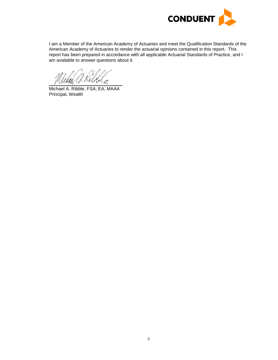

I am a Member of the American Academy of Actuaries and meet the Qualification Standards of the American Academy of Actuaries to render the actuarial opinions contained in this report. This report has been prepared in accordance with all applicable Actuarial Standards of Practice, and I am available to answer questions about it.

Michael A. Ribble, FSA, EA, MAAA Principal, Wealth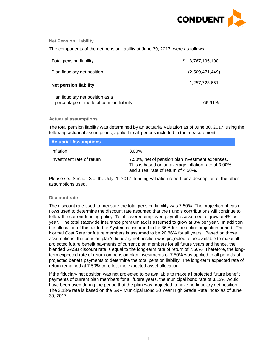

#### **Net Pension Liability**

The components of the net pension liability at June 30, 2017, were as follows:

| Total pension liability                                                       | \$3,767,195,100 |
|-------------------------------------------------------------------------------|-----------------|
| Plan fiduciary net position                                                   | (2,509,471,449) |
| <b>Net pension liability</b>                                                  | 1,257,723,651   |
| Plan fiduciary net position as a<br>percentage of the total pension liability | 66.61%          |

#### **Actuarial assumptions**

The total pension liability was determined by an actuarial valuation as of June 30, 2017, using the following actuarial assumptions, applied to all periods included in the measurement:

| <b>Actuarial Assumptions</b> |                                                                                                                                               |
|------------------------------|-----------------------------------------------------------------------------------------------------------------------------------------------|
| Inflation                    | 3.00%                                                                                                                                         |
| Investment rate of return    | 7.50%, net of pension plan investment expenses.<br>This is based on an average inflation rate of 3.00%<br>and a real rate of return of 4.50%. |

Please see Section 3 of the July, 1, 2017, funding valuation report for a description of the other assumptions used.

#### **Discount rate**

The discount rate used to measure the total pension liability was 7.50%. The projection of cash flows used to determine the discount rate assumed that the Fund's contributions will continue to follow the current funding policy. Total covered employee payroll is assumed to grow at 4% per year. The total statewide insurance premium tax is assumed to grow at 3% per year. In addition, the allocation of the tax to the System is assumed to be 36% for the entire projection period. The Normal Cost Rate for future members is assumed to be 20.86% for all years. Based on those assumptions, the pension plan's fiduciary net position was projected to be available to make all projected future benefit payments of current plan members for all future years and hence, the blended GASB discount rate is equal to the long-term rate of return of 7.50%. Therefore, the longterm expected rate of return on pension plan investments of 7.50% was applied to all periods of projected benefit payments to determine the total pension liability. The long-term expected rate of return remained at 7.50% to reflect the expected asset allocation.

If the fiduciary net position was not projected to be available to make all projected future benefit payments of current plan members for all future years, the municipal bond rate of 3.13% would have been used during the period that the plan was projected to have no fiduciary net position. The 3.13% rate is based on the S&P Municipal Bond 20 Year High Grade Rate Index as of June 30, 2017.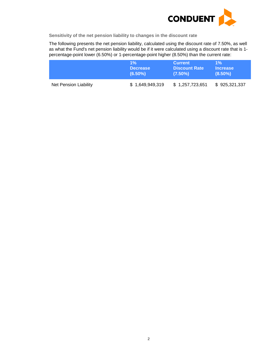

**Sensitivity of the net pension liability to changes in the discount rate**

The following presents the net pension liability, calculated using the discount rate of 7.50%, as well as what the Fund's net pension liability would be if it were calculated using a discount rate that is 1 percentage-point lower (6.50%) or 1-percentage-point higher (8.50%) than the current rate:

|                       | $1\%$           | <b>Current</b>       | $1\%$           |
|-----------------------|-----------------|----------------------|-----------------|
|                       | <b>Decrease</b> | <b>Discount Rate</b> | <b>Increase</b> |
|                       | $(6.50\%)$      | $(7.50\%)$           | $(8.50\%)$      |
| Net Pension Liability | \$1,649,949,319 | \$1,257,723,651      | \$925,321,337   |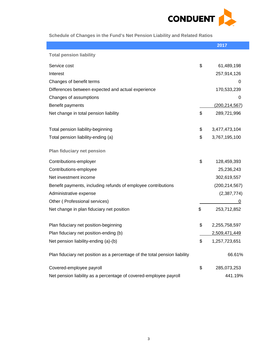

**Schedule of Changes in the Fund's Net Pension Liability and Related Ratios** 

|                                                                            | 2017                |
|----------------------------------------------------------------------------|---------------------|
| <b>Total pension liability</b>                                             |                     |
| Service cost                                                               | \$<br>61,489,198    |
| Interest                                                                   | 257,914,126         |
| Changes of benefit terms                                                   | 0                   |
| Differences between expected and actual experience                         | 170,533,239         |
| Changes of assumptions                                                     | 0                   |
| Benefit payments                                                           | (200, 214, 567)     |
| Net change in total pension liability                                      | \$<br>289,721,996   |
| Total pension liability-beginning                                          | \$<br>3,477,473,104 |
| Total pension liability-ending (a)                                         | \$<br>3,767,195,100 |
| Plan fiduciary net pension                                                 |                     |
| Contributions-employer                                                     | \$<br>128,459,393   |
| Contributions-employee                                                     | 25,236,243          |
| Net investment income                                                      | 302,619,557         |
| Benefit payments, including refunds of employee contributions              | (200, 214, 567)     |
| Administrative expense                                                     | (2,387,774)         |
| Other (Professional services)                                              | 0                   |
| Net change in plan fiduciary net position                                  | \$<br>253,712,852   |
| Plan fiduciary net position-beginning                                      | \$<br>2,255,758,597 |
| Plan fiduciary net position-ending (b)                                     | 2,509,471,449       |
| Net pension liability-ending (a)-(b)                                       | \$<br>1,257,723,651 |
| Plan fiduciary net position as a percentage of the total pension liability | 66.61%              |
| Covered-employee payroll                                                   | \$<br>285,073,253   |
| Net pension liability as a percentage of covered-employee payroll          | 441.19%             |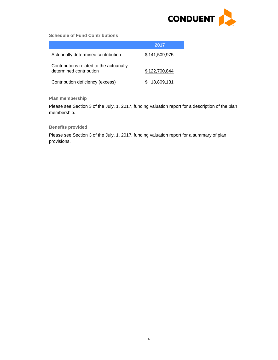

### **Schedule of Fund Contributions**

|                                                                     | 2017          |
|---------------------------------------------------------------------|---------------|
| Actuarially determined contribution                                 | \$141,509,975 |
| Contributions related to the actuarially<br>determined contribution | \$122,700,844 |
| Contribution deficiency (excess)                                    | 18,809,131    |

# **Plan membership**

Please see Section 3 of the July, 1, 2017, funding valuation report for a description of the plan membership.

#### **Benefits provided**

Please see Section 3 of the July, 1, 2017, funding valuation report for a summary of plan provisions.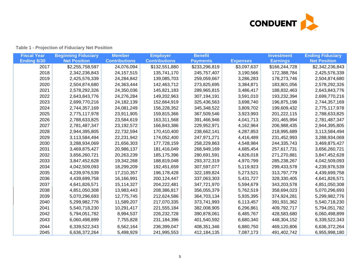

| <b>Table 1 - Projection of Fiduciary Net Position</b> |  |  |  |  |
|-------------------------------------------------------|--|--|--|--|
|-------------------------------------------------------|--|--|--|--|

| <b>Fiscal Year</b> | <b>Beginning Fiduciary</b> | <b>Member</b>        | <b>Employer</b>      | <b>Benefit</b>  |                 | <b>Investment</b> | <b>Ending Fiduciary</b> |
|--------------------|----------------------------|----------------------|----------------------|-----------------|-----------------|-------------------|-------------------------|
| Ending 6/30        | <b>Net Position</b>        | <b>Contributions</b> | <b>Contributions</b> | <b>Payments</b> | <b>Expenses</b> | <b>Earnings</b>   | <b>Net Position</b>     |
| 2017               | \$2,255,758,597            | 24,076,094           | \$132,551,880        | \$233,296,819   | \$3,097,637     | \$166,244,728     | \$2,342,236,843         |
| 2018               | 2,342,236,843              | 24, 157, 515         | 135,741,170          | 245,757,407     | 3,190,566       | 172,388,784       | 2,425,576,339           |
| 2019               | 2,425,576,339              | 24,284,842           | 139,085,703          | 259,059,667     | 3,286,283       | 178,273,746       | 2,504,874,680           |
| 2020               | 2,504,874,680              | 24,363,444           | 142,463,712          | 273,825,695     | 3,384,871       | 183,801,056       | 2,578,292,326           |
| 2021               | 2,578,292,326              | 24,350,036           | 145,821,183          | 289,965,815     | 3,486,417       | 188,832,463       | 2,643,843,776           |
| 2022               | 2,643,843,776              | 24,276,284           | 149,202,963          | 307,194,191     | 3,591,010       | 193,232,394       | 2,699,770,216           |
| 2023               | 2,699,770,216              | 24, 182, 139         | 152,664,919          | 325,436,563     | 3,698,740       | 196,875,198       | 2,744,357,169           |
| 2024               | 2,744,357,169              | 24,081,249           | 156,228,352          | 345,348,522     | 3,809,702       | 199,609,432       | 2,775,117,978           |
| 2025               | 2,775,117,978              | 23,911,905           | 159,815,366          | 367,509,546     | 3,923,993       | 201,222,115       | 2,788,633,825           |
| 2026               | 2,788,633,825              | 23,584,619           | 163,311,568          | 391,466,946     | 4,041,713       | 201,465,994       | 2,781,487,347           |
| 2027               | 2,781,487,347              | 23,192,572           | 166,843,386          | 229,952,971     | 4,162,964       | 206,988,435       | 2,944,395,805           |
| 2028               | 2,944,395,805              | 22,732,594           | 170,410,400          | 238,662,141     | 4,287,853       | 218,995,689       | 3,113,584,494           |
| 2029               | 3,113,584,494              | 22,231,942           | 174,052,400          | 247,971,271     | 4,416,489       | 231,452,993       | 3,288,934,069           |
| 2030               | 3,288,934,069              | 21,656,303           | 177,728,159          | 258,229,863     | 4,548,984       | 244,335,743       | 3,469,875,427           |
| 2031               | 3,469,875,427              | 20,986,137           | 181,416,049          | 268,949,169     | 4,685,454       | 257,617,731       | 3,656,260,721           |
| 2032               | 3,656,260,721              | 20,263,239           | 185, 175, 396        | 280,691,591     | 4,826,018       | 271,270,881       | 3,847,452,628           |
| 2033               | 3,847,452,628              | 19,342,268           | 188,819,048          | 293,372,319     | 4,970,799       | 285,238,267       | 4,042,509,093           |
| 2034               | 4,042,509,093              | 18,299,209           | 192,451,659          | 307,597,077     | 5,119,923       | 299,433,578       | 4,239,976,539           |
| 2035               | 4,239,976,539              | 17,210,357           | 196, 178, 428        | 322,189,824     | 5,273,521       | 313,797,779       | 4,439,699,758           |
| 2036               | 4,439,699,758              | 16,166,991           | 200, 124, 447        | 337,063,303     | 5,431,727       | 328,330,405       | 4,641,826,571           |
| 2037               | 4,641,826,571              | 15,114,327           | 204,222,481          | 347,721,970     | 5,594,679       | 343,203,578       | 4,851,050,308           |
| 2038               | 4,851,050,308              | 13,983,443           | 208,386,817          | 356,055,379     | 5,762,519       | 358,694,023       | 5,070,296,693           |
| 2039               | 5,070,296,693              | 12,775,745           | 212,624,586          | 364,703,134     | 5,935,395       | 374,924,281       | 5,299,982,776           |
| 2040               | 5,299,982,776              | 11,589,207           | 217,070,335          | 373,741,993     | 6,113,457       | 391,931,362       | 5,540,718,230           |
| 2041               | 5,540,718,230              | 10,291,417           | 221,555,184          | 382,008,905     | 6,296,861       | 409,792,717       | 5,794,051,782           |
| 2042               | 5,794,051,782              | 8,994,537            | 226, 232, 728        | 390,878,061     | 6,485,767       | 428,583,680       | 6,060,498,899           |
| 2043               | 6,060,498,899              | 7,755,828            | 231,184,396          | 401,540,592     | 6,680,340       | 448,304,152       | 6,339,522,343           |
| 2044               | 6,339,522,343              | 6,562,164            | 236,399,047          | 408,351,346     | 6,880,750       | 469,120,806       | 6,636,372,264           |
| 2045               | 6,636,372,264              | 5,498,929            | 241,995,553          | 412, 184, 135   | 7,087,173       | 491,402,742       | 6,955,998,180           |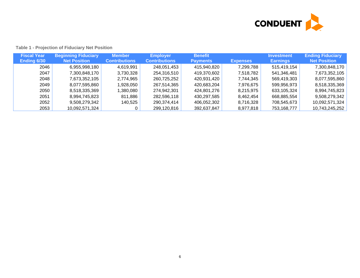

| <b>Fiscal Year</b><br><b>Ending 6/30</b> | <b>Beginning Fiduciary</b><br><b>Net Position</b> | <b>Member</b><br><b>Contributions</b> | <b>Employer</b><br><b>Contributions</b> | <b>Benefit</b><br><b>Payments</b> | <b>Expenses</b> | <b>Investment</b><br><b>Earnings</b> | <b>Ending Fiduciary</b><br><b>Net Position</b> |
|------------------------------------------|---------------------------------------------------|---------------------------------------|-----------------------------------------|-----------------------------------|-----------------|--------------------------------------|------------------------------------------------|
| 2046                                     | 6,955,998,180                                     | 4,619,991                             | 248,051,453                             | 415,940,820                       | 7,299,788       | 515,419,154                          | 7,300,848,170                                  |
| 2047                                     | 7,300,848,170                                     | 3,730,328                             | 254,316,510                             | 419,370,602                       | 7,518,782       | 541,346,481                          | 7,673,352,105                                  |
| 2048                                     | 7,673,352,105                                     | 2,774,965                             | 260,725,252                             | 420,931,420                       | 7,744,345       | 569,419,303                          | 8,077,595,860                                  |
| 2049                                     | 8,077,595,860                                     | 1,928,050                             | 267,514,365                             | 420,683,204                       | 7,976,675       | 599,956,973                          | 8,518,335,369                                  |
| 2050                                     | 8,518,335,369                                     | 1,380,080                             | 274,942,301                             | 424,801,276                       | 8,215,975       | 633,105,324                          | 8,994,745,823                                  |
| 2051                                     | 8,994,745,823                                     | 811,886                               | 282,596,118                             | 430,297,585                       | 8,462,454       | 668,885,554                          | 9,508,279,342                                  |
| 2052                                     | 9,508,279,342                                     | 140,525                               | 290,374,414                             | 406,052,302                       | 8,716,328       | 708,545,673                          | 10,092,571,324                                 |
| 2053                                     | 10,092,571,324                                    |                                       | 299,120,816                             | 392,637,847                       | 8,977,818       | 753,168,777                          | 10,743,245,252                                 |

## **Table 1 - Projection of Fiduciary Net Position**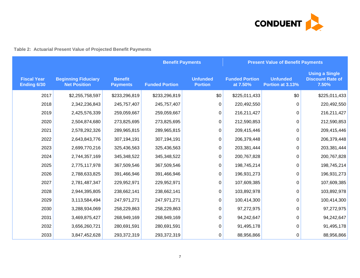

# **Table 2: Actuarial Present Value of Projected Benefit Payments**

|                                   |                                                   |                                   |                       | <b>Benefit Payments</b><br><b>Present Value of Benefit Payments</b> |                                   |                                     |                                                           |
|-----------------------------------|---------------------------------------------------|-----------------------------------|-----------------------|---------------------------------------------------------------------|-----------------------------------|-------------------------------------|-----------------------------------------------------------|
| <b>Fiscal Year</b><br>Ending 6/30 | <b>Beginning Fiduciary</b><br><b>Net Position</b> | <b>Benefit</b><br><b>Payments</b> | <b>Funded Portion</b> | <b>Unfunded</b><br><b>Portion</b>                                   | <b>Funded Portion</b><br>at 7.50% | <b>Unfunded</b><br>Portion at 3.13% | <b>Using a Single</b><br><b>Discount Rate of</b><br>7.50% |
| 2017                              | \$2,255,758,597                                   | \$233,296,819                     | \$233,296,819         | \$0                                                                 | \$225,011,433                     | \$0                                 | \$225,011,433                                             |
| 2018                              | 2,342,236,843                                     | 245,757,407                       | 245,757,407           | 0                                                                   | 220,492,550                       | 0                                   | 220,492,550                                               |
| 2019                              | 2,425,576,339                                     | 259,059,667                       | 259,059,667           | 0                                                                   | 216,211,427                       | 0                                   | 216,211,427                                               |
| 2020                              | 2,504,874,680                                     | 273,825,695                       | 273,825,695           | 0                                                                   | 212,590,853                       | 0                                   | 212,590,853                                               |
| 2021                              | 2,578,292,326                                     | 289,965,815                       | 289,965,815           | 0                                                                   | 209,415,446                       | 0                                   | 209,415,446                                               |
| 2022                              | 2,643,843,776                                     | 307,194,191                       | 307,194,191           | $\mathbf 0$                                                         | 206,379,448                       | 0                                   | 206,379,448                                               |
| 2023                              | 2,699,770,216                                     | 325,436,563                       | 325,436,563           | 0                                                                   | 203,381,444                       | 0                                   | 203,381,444                                               |
| 2024                              | 2,744,357,169                                     | 345,348,522                       | 345,348,522           | 0                                                                   | 200,767,828                       | 0                                   | 200,767,828                                               |
| 2025                              | 2,775,117,978                                     | 367,509,546                       | 367,509,546           | 0                                                                   | 198,745,214                       | 0                                   | 198,745,214                                               |
| 2026                              | 2,788,633,825                                     | 391,466,946                       | 391,466,946           | 0                                                                   | 196,931,273                       | 0                                   | 196,931,273                                               |
| 2027                              | 2,781,487,347                                     | 229,952,971                       | 229,952,971           | $\mathbf 0$                                                         | 107,609,385                       | 0                                   | 107,609,385                                               |
| 2028                              | 2,944,395,805                                     | 238,662,141                       | 238,662,141           | 0                                                                   | 103,892,978                       | 0                                   | 103,892,978                                               |
| 2029                              | 3,113,584,494                                     | 247,971,271                       | 247,971,271           | $\mathbf 0$                                                         | 100,414,300                       | 0                                   | 100,414,300                                               |
| 2030                              | 3,288,934,069                                     | 258,229,863                       | 258,229,863           | 0                                                                   | 97,272,975                        | 0                                   | 97,272,975                                                |
| 2031                              | 3,469,875,427                                     | 268,949,169                       | 268,949,169           | 0                                                                   | 94,242,647                        | 0                                   | 94,242,647                                                |
| 2032                              | 3,656,260,721                                     | 280,691,591                       | 280,691,591           | $\pmb{0}$                                                           | 91,495,178                        | $\Omega$                            | 91,495,178                                                |
| 2033                              | 3,847,452,628                                     | 293,372,319                       | 293,372,319           | 0                                                                   | 88,956,866                        | 0                                   | 88,956,866                                                |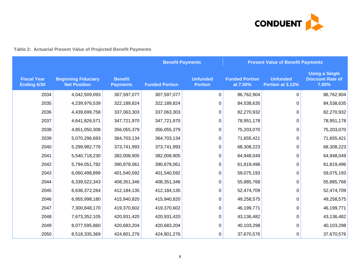

# **Table 2: Actuarial Present Value of Projected Benefit Payments**

|                                   |                                                   |                                   | <b>Benefit Payments</b><br><b>Present Value of Benefit Payments</b> |                                   |                                   |                                     |                                                           |
|-----------------------------------|---------------------------------------------------|-----------------------------------|---------------------------------------------------------------------|-----------------------------------|-----------------------------------|-------------------------------------|-----------------------------------------------------------|
| <b>Fiscal Year</b><br>Ending 6/30 | <b>Beginning Fiduciary</b><br><b>Net Position</b> | <b>Benefit</b><br><b>Payments</b> | <b>Funded Portion</b>                                               | <b>Unfunded</b><br><b>Portion</b> | <b>Funded Portion</b><br>at 7.50% | <b>Unfunded</b><br>Portion at 3.13% | <b>Using a Single</b><br><b>Discount Rate of</b><br>7.50% |
| 2034                              | 4,042,509,093                                     | 307,597,077                       | 307,597,077                                                         | $\mathbf 0$                       | 86,762,904                        | 0                                   | 86,762,904                                                |
| 2035                              | 4,239,976,539                                     | 322,189,824                       | 322,189,824                                                         | 0                                 | 84,538,635                        | 0                                   | 84,538,635                                                |
| 2036                              | 4,439,699,758                                     | 337,063,303                       | 337,063,303                                                         | 0                                 | 82,270,932                        | 0                                   | 82,270,932                                                |
| 2037                              | 4,641,826,571                                     | 347,721,970                       | 347,721,970                                                         | $\mathbf 0$                       | 78,951,178                        | 0                                   | 78,951,178                                                |
| 2038                              | 4,851,050,308                                     | 356,055,379                       | 356,055,379                                                         | 0                                 | 75,203,070                        | 0                                   | 75,203,070                                                |
| 2039                              | 5,070,296,693                                     | 364,703,134                       | 364,703,134                                                         | 0                                 | 71,655,421                        | 0                                   | 71,655,421                                                |
| 2040                              | 5,299,982,776                                     | 373,741,993                       | 373,741,993                                                         | 0                                 | 68,308,223                        | $\Omega$                            | 68,308,223                                                |
| 2041                              | 5,540,718,230                                     | 382,008,905                       | 382,008,905                                                         | 0                                 | 64,948,049                        | 0                                   | 64,948,049                                                |
| 2042                              | 5,794,051,782                                     | 390,878,061                       | 390,878,061                                                         | 0                                 | 61,819,496                        | 0                                   | 61,819,496                                                |
| 2043                              | 6,060,498,899                                     | 401,540,592                       | 401,540,592                                                         | $\mathbf 0$                       | 59,075,193                        | 0                                   | 59,075,193                                                |
| 2044                              | 6,339,522,343                                     | 408,351,346                       | 408,351,346                                                         | 0                                 | 55,885,768                        | 0                                   | 55,885,768                                                |
| 2045                              | 6,636,372,264                                     | 412,184,135                       | 412,184,135                                                         | 0                                 | 52,474,709                        | 0                                   | 52,474,709                                                |
| 2046                              | 6,955,998,180                                     | 415,940,820                       | 415,940,820                                                         | 0                                 | 49,258,575                        | 0                                   | 49,258,575                                                |
| 2047                              | 7,300,848,170                                     | 419,370,602                       | 419,370,602                                                         | 0                                 | 46,199,771                        | 0                                   | 46,199,771                                                |
| 2048                              | 7,673,352,105                                     | 420,931,420                       | 420,931,420                                                         | $\mathbf 0$                       | 43,136,482                        | 0                                   | 43,136,482                                                |
| 2049                              | 8,077,595,860                                     | 420,683,204                       | 420,683,204                                                         | 0                                 | 40,103,298                        | 0                                   | 40,103,298                                                |
| 2050                              | 8,518,335,369                                     | 424,801,276                       | 424,801,276                                                         | 0                                 | 37,670,576                        | 0                                   | 37,670,576                                                |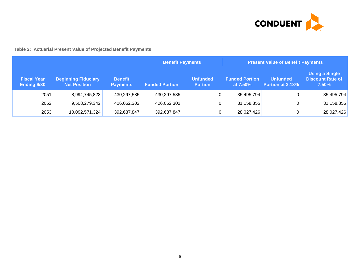

# **Table 2: Actuarial Present Value of Projected Benefit Payments**

|                                   |                                                   |                                   | <b>Benefit Payments</b> |                                   | <b>Present Value of Benefit Payments</b> |                              |                                                           |
|-----------------------------------|---------------------------------------------------|-----------------------------------|-------------------------|-----------------------------------|------------------------------------------|------------------------------|-----------------------------------------------------------|
| <b>Fiscal Year</b><br>Ending 6/30 | <b>Beginning Fiduciary</b><br><b>Net Position</b> | <b>Benefit</b><br><b>Payments</b> | <b>Funded Portion</b>   | <b>Unfunded</b><br><b>Portion</b> | <b>Funded Portion</b><br>at 7.50%        | Unfunded<br>Portion at 3.13% | <b>Using a Single</b><br><b>Discount Rate of</b><br>7.50% |
| 2051                              | 8,994,745,823                                     | 430,297,585                       | 430,297,585             | 0                                 | 35,495,794                               |                              | 35,495,794                                                |
| 2052                              | 9,508,279,342                                     | 406,052,302                       | 406,052,302             | 0                                 | 31,158,855                               |                              | 31,158,855                                                |
| 2053                              | 10,092,571,324                                    | 392,637,847                       | 392,637,847             | 0                                 | 28,027,426                               |                              | 28,027,426                                                |